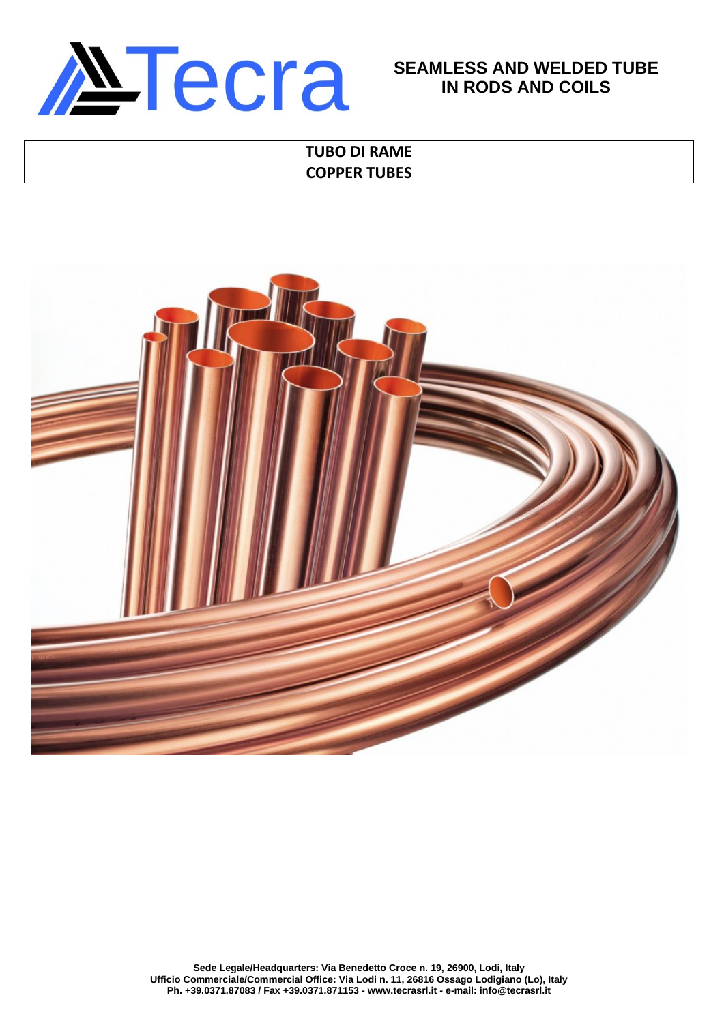

# **SEAMLESS AND WELDED TUBE IN RODS AND COILS**

# **TUBO DI RAME COPPER TUBES**

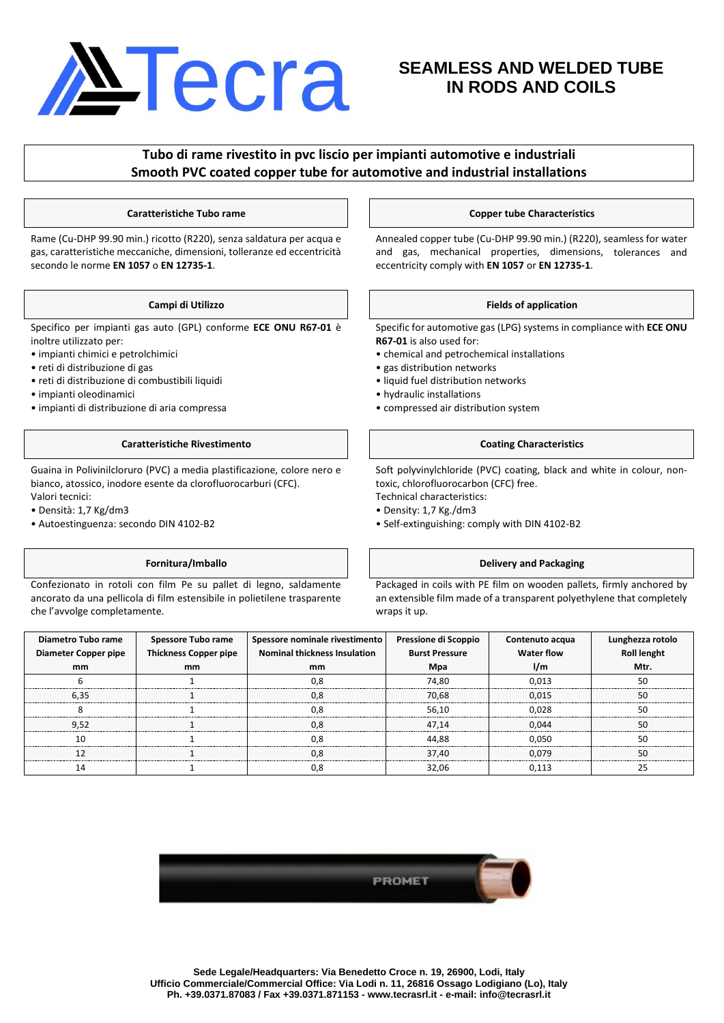# **NTecra**

# **SEAMLESS AND WELDED TUBE IN RODS AND COILS**

## **Tubo di rame rivestito in pvc liscio per impianti automotive e industriali Smooth PVC coated copper tube for automotive and industrial installations**

Rame (Cu-DHP 99.90 min.) ricotto (R220), senza saldatura per acqua e gas, caratteristiche meccaniche, dimensioni, tolleranze ed eccentricità secondo le norme **EN 1057** o **EN 12735-1**.

Specifico per impianti gas auto (GPL) conforme **ECE ONU R67-01** è inoltre utilizzato per:

- impianti chimici e petrolchimici
- reti di distribuzione di gas
- reti di distribuzione di combustibili liquidi
- impianti oleodinamici
- impianti di distribuzione di aria compressa

## **Caratteristiche Rivestimento Coating Characteristics**

Guaina in Polivinilcloruro (PVC) a media plastificazione, colore nero e bianco, atossico, inodore esente da clorofluorocarburi (CFC). Valori tecnici:

- Densità: 1,7 Kg/dm3
- Autoestinguenza: secondo DIN 4102-B2

Confezionato in rotoli con film Pe su pallet di legno, saldamente ancorato da una pellicola di film estensibile in polietilene trasparente che l'avvolge completamente.

## **Caratteristiche Tubo rame Copper tube Characteristics**

Annealed copper tube (Cu-DHP 99.90 min.) (R220), seamless for water and gas, mechanical properties, dimensions, tolerances and eccentricity comply with **EN 1057** or **EN 12735-1**.

## **Campi di Utilizzo Fields of application**

Specific for automotive gas (LPG) systems in compliance with **ECE ONU R67-01** is also used for:

- chemical and petrochemical installations
- gas distribution networks
- liquid fuel distribution networks
- hydraulic installations
- compressed air distribution system

Soft polyvinylchloride (PVC) coating, black and white in colour, nontoxic, chlorofluorocarbon (CFC) free.

- Technical characteristics: • Density: 1,7 Kg./dm3
- 
- Self-extinguishing: comply with DIN 4102-B2

## **Fornitura/Imballo Delivery and Packaging**

Packaged in coils with PE film on wooden pallets, firmly anchored by an extensible film made of a transparent polyethylene that completely wraps it up.

| Diametro Tubo rame   | <b>Spessore Tubo rame</b>    | Spessore nominale rivestimento      | Pressione di Scoppio  | Contenuto acqua   | Lunghezza rotolo |
|----------------------|------------------------------|-------------------------------------|-----------------------|-------------------|------------------|
| Diameter Copper pipe | <b>Thickness Copper pipe</b> | <b>Nominal thickness Insulation</b> | <b>Burst Pressure</b> | <b>Water flow</b> | Roll lenght      |
| mm                   | mm                           | mm                                  | Mpa                   | 1/m               | Mtr.             |
|                      |                              |                                     | 74.80                 | 0.013             | 50               |
| 6.35                 |                              | 0.8                                 | 70.68                 | 0.015             | 50               |
|                      |                              | ΩЯ                                  | 56.10                 | 0.028             |                  |
| 9.52                 |                              | 0.8                                 | 47.14                 | 0.044             | 50               |
|                      |                              |                                     | 44.88                 | 0.050             | 50               |
|                      |                              |                                     | 37.40                 | 0.079             |                  |
| 14                   |                              | 0.8                                 | 32.06                 | 0.113             |                  |

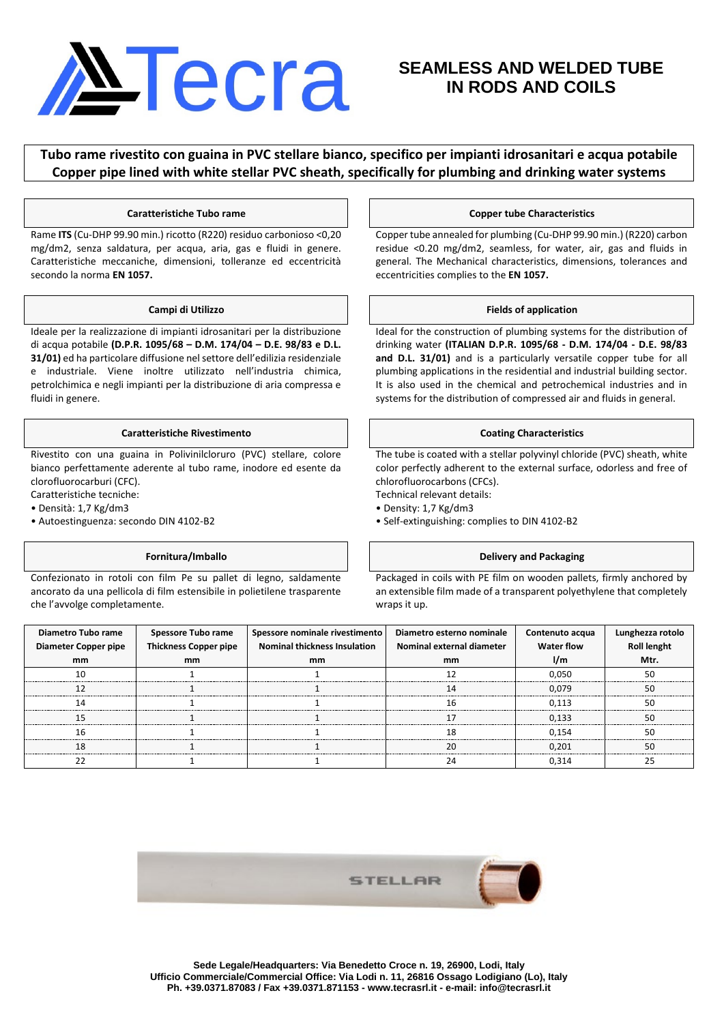# NTecra

# **SEAMLESS AND WELDED TUBE IN RODS AND COILS**

**Tubo rame rivestito con guaina in PVC stellare bianco, specifico per impianti idrosanitari e acqua potabile Copper pipe lined with white stellar PVC sheath, specifically for plumbing and drinking water systems**

Rame **ITS** (Cu-DHP 99.90 min.) ricotto (R220) residuo carbonioso <0,20 mg/dm2, senza saldatura, per acqua, aria, gas e fluidi in genere. Caratteristiche meccaniche, dimensioni, tolleranze ed eccentricità secondo la norma **EN 1057.**

Ideale per la realizzazione di impianti idrosanitari per la distribuzione di acqua potabile **(D.P.R. 1095/68 – D.M. 174/04 – D.E. 98/83 e D.L. 31/01)** ed ha particolare diffusione nel settore dell'edilizia residenziale e industriale. Viene inoltre utilizzato nell'industria chimica, petrolchimica e negli impianti per la distribuzione di aria compressa e fluidi in genere.

## **Caratteristiche Rivestimento Coating Characteristics Coating Characteristics**

Rivestito con una guaina in Polivinilcloruro (PVC) stellare, colore bianco perfettamente aderente al tubo rame, inodore ed esente da clorofluorocarburi (CFC).

Caratteristiche tecniche:

- Densità: 1,7 Kg/dm3
- Autoestinguenza: secondo DIN 4102-B2

Confezionato in rotoli con film Pe su pallet di legno, saldamente ancorato da una pellicola di film estensibile in polietilene trasparente che l'avvolge completamente.

### **Caratteristiche Tubo rame Copper tube Characteristics**

Copper tube annealed for plumbing (Cu-DHP 99.90 min.) (R220) carbon residue <0.20 mg/dm2, seamless, for water, air, gas and fluids in general. The Mechanical characteristics, dimensions, tolerances and eccentricities complies to the **EN 1057.**

### **Campi di Utilizzo Fields of application**

Ideal for the construction of plumbing systems for the distribution of drinking water **(ITALIAN D.P.R. 1095/68 - D.M. 174/04 - D.E. 98/83 and D.L. 31/01)** and is a particularly versatile copper tube for all plumbing applications in the residential and industrial building sector. It is also used in the chemical and petrochemical industries and in systems for the distribution of compressed air and fluids in general.

The tube is coated with a stellar polyvinyl chloride (PVC) sheath, white color perfectly adherent to the external surface, odorless and free of chlorofluorocarbons (CFCs).

- Technical relevant details:
- Density: 1,7 Kg/dm3
- Self-extinguishing: complies to DIN 4102-B2

## **Fornitura/Imballo Delivery and Packaging**

Packaged in coils with PE film on wooden pallets, firmly anchored by an extensible film made of a transparent polyethylene that completely wraps it up.

| Diametro Tubo rame<br>Diameter Copper pipe | <b>Spessore Tubo rame<br/>Thickness Copper pipe</b> | Spessore nominale rivestimento<br><b>Nominal thickness Insulation</b> | Diametro esterno nominale<br>Nominal external diameter | Contenuto acqua<br><b>Water flow</b> | Lunghezza rotolo<br>Roll lenght |
|--------------------------------------------|-----------------------------------------------------|-----------------------------------------------------------------------|--------------------------------------------------------|--------------------------------------|---------------------------------|
| mm                                         | mm                                                  | mm                                                                    | mm                                                     | l/m                                  | Mtr.                            |
|                                            |                                                     |                                                                       |                                                        | 0.050                                |                                 |
|                                            |                                                     |                                                                       |                                                        | 0.079                                |                                 |
|                                            |                                                     |                                                                       |                                                        | 0.113                                |                                 |
|                                            |                                                     |                                                                       |                                                        | 0.133                                |                                 |
|                                            |                                                     |                                                                       |                                                        | 0.154                                |                                 |
|                                            |                                                     |                                                                       |                                                        | 0.201                                |                                 |
|                                            |                                                     |                                                                       |                                                        | 0.314                                |                                 |

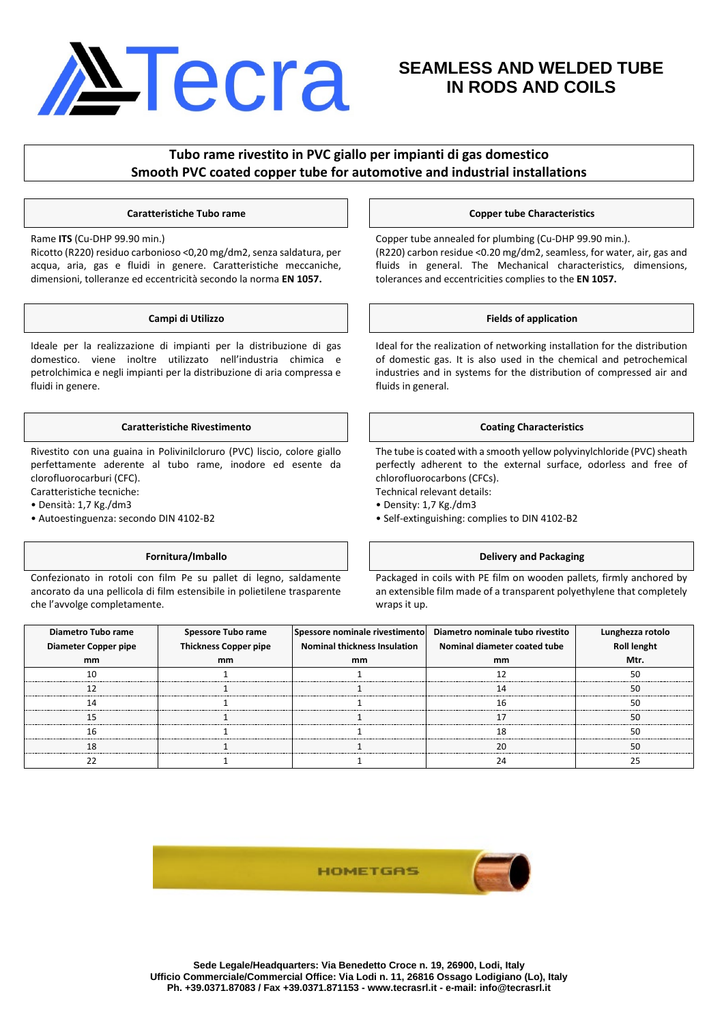

# **SEAMLESS AND WELDED TUBE IN RODS AND COILS**

## **Tubo rame rivestito in PVC giallo per impianti di gas domestico Smooth PVC coated copper tube for automotive and industrial installations**

Rame **ITS** (Cu-DHP 99.90 min.)

Ricotto (R220) residuo carbonioso <0,20 mg/dm2, senza saldatura, per acqua, aria, gas e fluidi in genere. Caratteristiche meccaniche, dimensioni, tolleranze ed eccentricità secondo la norma **EN 1057.**

Ideale per la realizzazione di impianti per la distribuzione di gas domestico. viene inoltre utilizzato nell'industria chimica e petrolchimica e negli impianti per la distribuzione di aria compressa e fluidi in genere.

## **Caratteristiche Rivestimento Coating Characteristics Coating Characteristics**

Rivestito con una guaina in Polivinilcloruro (PVC) liscio, colore giallo perfettamente aderente al tubo rame, inodore ed esente da clorofluorocarburi (CFC).

Caratteristiche tecniche:

• Densità: 1,7 Kg./dm3

• Autoestinguenza: secondo DIN 4102-B2

Confezionato in rotoli con film Pe su pallet di legno, saldamente ancorato da una pellicola di film estensibile in polietilene trasparente che l'avvolge completamente.

### **Caratteristiche Tubo rame Copper tube Characteristics**

Copper tube annealed for plumbing (Cu-DHP 99.90 min.). (R220) carbon residue <0.20 mg/dm2, seamless, for water, air, gas and fluids in general. The Mechanical characteristics, dimensions, tolerances and eccentricities complies to the **EN 1057.**

### **Campi di Utilizzo Fields of application**

Ideal for the realization of networking installation for the distribution of domestic gas. It is also used in the chemical and petrochemical industries and in systems for the distribution of compressed air and fluids in general.

The tube is coated with a smooth yellow polyvinylchloride (PVC) sheath perfectly adherent to the external surface, odorless and free of chlorofluorocarbons (CFCs).

- Technical relevant details:
- Density: 1,7 Kg./dm3
- Self-extinguishing: complies to DIN 4102-B2

## **Fornitura/Imballo Delivery and Packaging**

Packaged in coils with PE film on wooden pallets, firmly anchored by an extensible film made of a transparent polyethylene that completely wraps it up.

| Diametro Tubo rame   | Spessore Tubo rame    | Spessore nominale rivestimento      | Diametro nominale tubo rivestito | Lungnezza rotor |
|----------------------|-----------------------|-------------------------------------|----------------------------------|-----------------|
| Diameter Copper pipe | Thickness Copper pipe | <b>Nominal thickness Insulation</b> | Nominal diameter coated tube     | Roll lenght     |
| mm                   | mm                    | mm                                  | mm                               | Mtr.            |
|                      |                       |                                     |                                  |                 |
|                      |                       |                                     |                                  |                 |
|                      |                       |                                     |                                  |                 |
|                      |                       |                                     |                                  |                 |
|                      |                       |                                     |                                  |                 |
|                      |                       |                                     |                                  |                 |
|                      |                       |                                     |                                  |                 |

**HOMETGAS** 

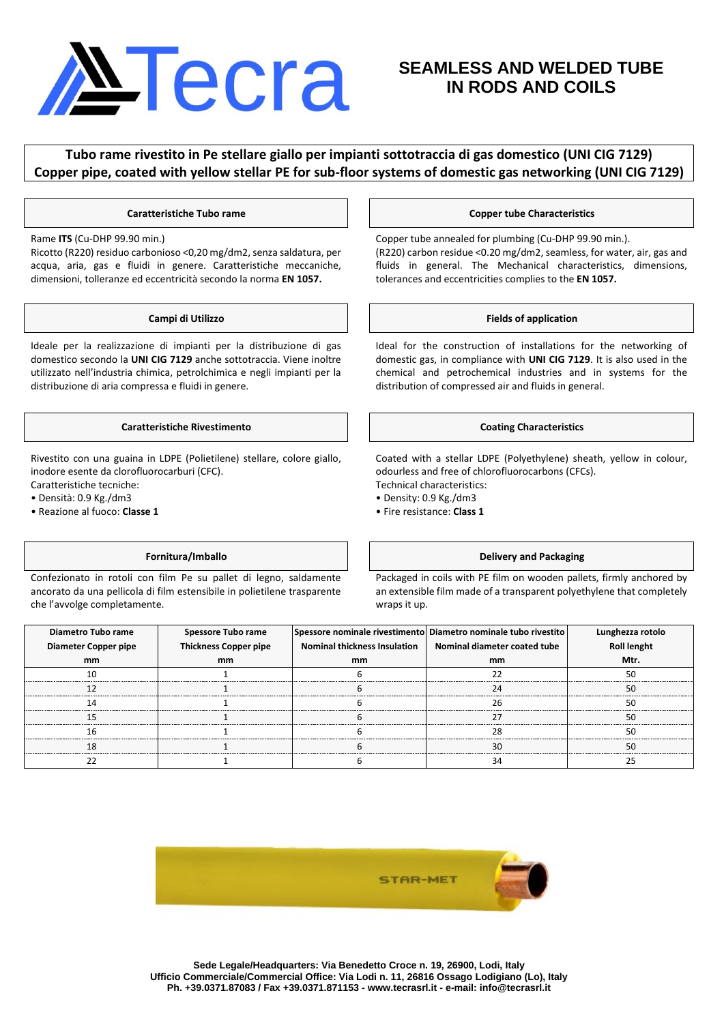# Necra

# **SEAMLESS AND WELDED TUBE IN RODS AND COILS**

## **Tubo rame rivestito in Pe stellare giallo per impianti sottotraccia di gas domestico (UNI CIG 7129) Copper pipe, coated with yellow stellar PE for sub-floor systems of domestic gas networking (UNI CIG 7129)**

## Rame **ITS** (Cu-DHP 99.90 min.)

Ricotto (R220) residuo carbonioso <0,20 mg/dm2, senza saldatura, per acqua, aria, gas e fluidi in genere. Caratteristiche meccaniche, dimensioni, tolleranze ed eccentricità secondo la norma **EN 1057.**

Ideale per la realizzazione di impianti per la distribuzione di gas domestico secondo la **UNI CIG 7129** anche sottotraccia. Viene inoltre utilizzato nell'industria chimica, petrolchimica e negli impianti per la distribuzione di aria compressa e fluidi in genere.

## **Caratteristiche Rivestimento Coating Characteristics**

Rivestito con una guaina in LDPE (Polietilene) stellare, colore giallo, inodore esente da clorofluorocarburi (CFC).

Caratteristiche tecniche:

• Densità: 0.9 Kg./dm3

• Reazione al fuoco: **Classe 1**

Confezionato in rotoli con film Pe su pallet di legno, saldamente ancorato da una pellicola di film estensibile in polietilene trasparente che l'avvolge completamente.

## **Caratteristiche Tubo rame Copper tube Characteristics**

Copper tube annealed for plumbing (Cu-DHP 99.90 min.). (R220) carbon residue <0.20 mg/dm2, seamless, for water, air, gas and fluids in general. The Mechanical characteristics, dimensions, tolerances and eccentricities complies to the **EN 1057.**

## **Campi di Utilizzo Fields of application**

Ideal for the construction of installations for the networking of domestic gas, in compliance with **UNI CIG 7129**. It is also used in the chemical and petrochemical industries and in systems for the distribution of compressed air and fluids in general.

Coated with a stellar LDPE (Polyethylene) sheath, yellow in colour, odourless and free of chlorofluorocarbons (CFCs). Technical characteristics:

- Density: 0.9 Kg./dm3
- Fire resistance: **Class 1**

## **Fornitura/Imballo Delivery and Packaging**

Packaged in coils with PE film on wooden pallets, firmly anchored by an extensible film made of a transparent polyethylene that completely wraps it up.

| Diametro Tubo rame   | Spessore Tubo rame           |                                     | Spessore nominale rivestimento Diametro nominale tubo rivestito | Lunghezza rotolo   |
|----------------------|------------------------------|-------------------------------------|-----------------------------------------------------------------|--------------------|
| Diameter Copper pipe | <b>Thickness Copper pipe</b> | <b>Nominal thickness Insulation</b> | Nominal diameter coated tube                                    | <b>Roll lenght</b> |
| mm                   | mm                           | mm                                  | mm                                                              | Mtr.               |
|                      |                              |                                     |                                                                 |                    |
|                      |                              |                                     |                                                                 |                    |
|                      |                              |                                     |                                                                 |                    |
|                      |                              |                                     |                                                                 |                    |
|                      |                              |                                     |                                                                 |                    |
|                      |                              |                                     |                                                                 |                    |
|                      |                              |                                     |                                                                 |                    |

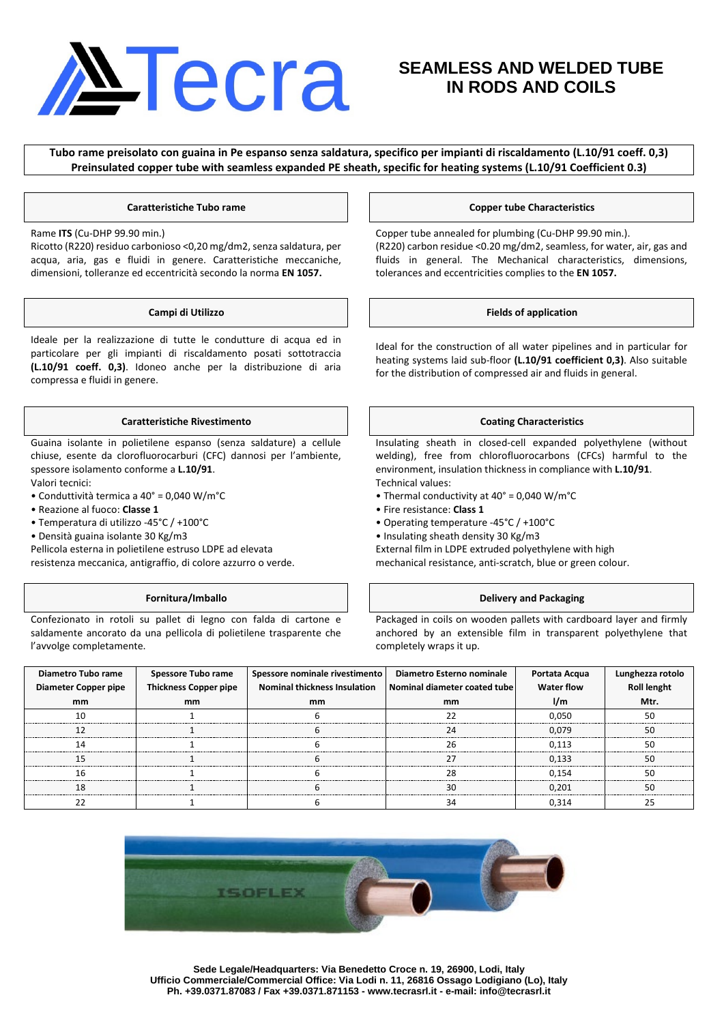# <u>Necra</u>

# **SEAMLESS AND WELDED TUBE IN RODS AND COILS**

**Tubo rame preisolato con guaina in Pe espanso senza saldatura, specifico per impianti di riscaldamento (L.10/91 coeff. 0,3) Preinsulated copper tube with seamless expanded PE sheath, specific for heating systems (L.10/91 Coefficient 0.3)**

Rame **ITS** (Cu-DHP 99.90 min.)

Ricotto (R220) residuo carbonioso <0,20 mg/dm2, senza saldatura, per acqua, aria, gas e fluidi in genere. Caratteristiche meccaniche, dimensioni, tolleranze ed eccentricità secondo la norma **EN 1057.**

Ideale per la realizzazione di tutte le condutture di acqua ed in particolare per gli impianti di riscaldamento posati sottotraccia **(L.10/91 coeff. 0,3)**. Idoneo anche per la distribuzione di aria compressa e fluidi in genere.

## **Caratteristiche Rivestimento Coating Characteristics**

Guaina isolante in polietilene espanso (senza saldature) a cellule chiuse, esente da clorofluorocarburi (CFC) dannosi per l'ambiente, spessore isolamento conforme a **L.10/91**.

Valori tecnici:

- Conduttività termica a 40° = 0,040 W/m°C
- Reazione al fuoco: **Classe 1**
- Temperatura di utilizzo -45°C / +100°C
- Densità guaina isolante 30 Kg/m3

Pellicola esterna in polietilene estruso LDPE ad elevata

resistenza meccanica, antigraffio, di colore azzurro o verde.

Confezionato in rotoli su pallet di legno con falda di cartone e saldamente ancorato da una pellicola di polietilene trasparente che l'avvolge completamente.

## **Caratteristiche Tubo rame Copper tube Characteristics**

Copper tube annealed for plumbing (Cu-DHP 99.90 min.). (R220) carbon residue <0.20 mg/dm2, seamless, for water, air, gas and fluids in general. The Mechanical characteristics, dimensions, tolerances and eccentricities complies to the **EN 1057.**

## **Campi di Utilizzo Fields of application**

Ideal for the construction of all water pipelines and in particular for heating systems laid sub-floor **(L.10/91 coefficient 0,3)**. Also suitable for the distribution of compressed air and fluids in general.

Insulating sheath in closed-cell expanded polyethylene (without welding), free from chlorofluorocarbons (CFCs) harmful to the environment, insulation thickness in compliance with **L.10/91**. Technical values:

- Thermal conductivity at 40° = 0,040 W/m°C
- Fire resistance: **Class 1**
- Operating temperature -45°C / +100°C
- Insulating sheath density 30 Kg/m3

External film in LDPE extruded polyethylene with high

mechanical resistance, anti-scratch, blue or green colour.

## **Fornitura/Imballo Delivery and Packaging**

Packaged in coils on wooden pallets with cardboard layer and firmly anchored by an extensible film in transparent polyethylene that completely wraps it up.

| Diametro Tubo rame   |                                                     | Spessore nominale rivestimento                              | Diametro Esterno nominale | Portata Acqua<br>Water flow |                                 |
|----------------------|-----------------------------------------------------|-------------------------------------------------------------|---------------------------|-----------------------------|---------------------------------|
| Diameter Copper pipe | <b>Spessore Tubo rame<br/>Thickness Copper pipe</b> | Nominal thickness Insulation   Nominal diameter coated tube |                           |                             | Lunghezza rotolo<br>Roll lenght |
| mm                   | mm                                                  | mm                                                          | mm                        | l/m                         | Mtr.                            |
|                      |                                                     |                                                             |                           | 0.050                       |                                 |
|                      |                                                     |                                                             |                           | 0.079                       |                                 |
|                      |                                                     |                                                             |                           | ก 113                       |                                 |
|                      |                                                     |                                                             |                           | 0.133                       |                                 |
|                      |                                                     |                                                             |                           | 0.154                       |                                 |
|                      |                                                     |                                                             |                           | 0.201                       |                                 |
|                      |                                                     |                                                             |                           |                             |                                 |

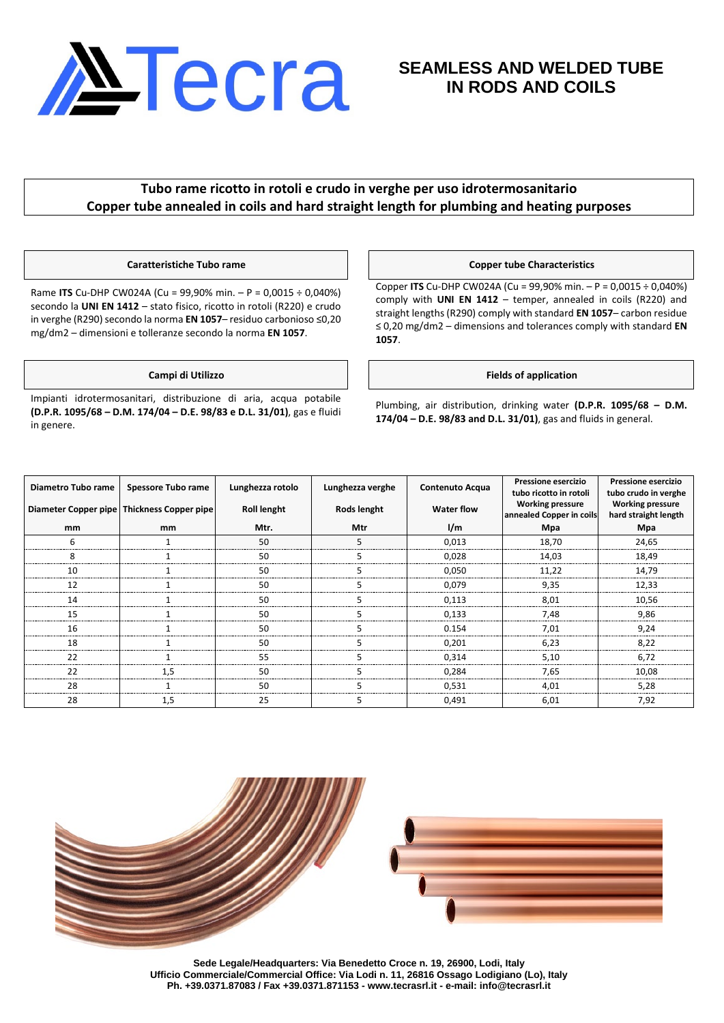

# **SEAMLESS AND WELDED TUBE IN RODS AND COILS**

## **Tubo rame ricotto in rotoli e crudo in verghe per uso idrotermosanitario Copper tube annealed in coils and hard straight length for plumbing and heating purposes**

Rame **ITS** Cu-DHP CW024A (Cu = 99,90% min. – P = 0,0015 ÷ 0,040%) secondo la **UNI EN 1412** – stato fisico, ricotto in rotoli (R220) e crudo in verghe (R290) secondo la norma **EN 1057**– residuo carbonioso ≤0,20 mg/dm2 – dimensioni e tolleranze secondo la norma **EN 1057**.

Impianti idrotermosanitari, distribuzione di aria, acqua potabile **(D.P.R. 1095/68 – D.M. 174/04 – D.E. 98/83 e D.L. 31/01)**, gas e fluidi in genere.

## **Caratteristiche Tubo rame Copper tube Characteristics**

Copper **ITS** Cu-DHP CW024A (Cu = 99,90% min. – P = 0,0015 ÷ 0,040%) comply with **UNI EN 1412** – temper, annealed in coils (R220) and straight lengths (R290) comply with standard **EN 1057**– carbon residue ≤ 0,20 mg/dm2 – dimensions and tolerances comply with standard **EN 1057**.

## **Campi di Utilizzo Fields of application**

Plumbing, air distribution, drinking water **(D.P.R. 1095/68 – D.M. 174/04 – D.E. 98/83 and D.L. 31/01)**, gas and fluids in general.

| Diametro Tubo rame                         | Spessore Tubo rame | Lunghezza rotolo   | Lunghezza verghe   | <b>Contenuto Acqua</b> | Pressione esercizio<br>tubo ricotto in rotoli       | <b>Pressione esercizio</b><br>tubo crudo in verghe |
|--------------------------------------------|--------------------|--------------------|--------------------|------------------------|-----------------------------------------------------|----------------------------------------------------|
| Diameter Copper pipe Thickness Copper pipe |                    | <b>Roll lenght</b> | <b>Rods lenght</b> | <b>Water flow</b>      | <b>Working pressure</b><br>annealed Copper in coils | <b>Working pressure</b><br>hard straight length    |
| mm                                         | mm                 | Mtr.               | Mtr                | 1/m                    | Mpa                                                 | Mpa                                                |
|                                            |                    | 50                 |                    | 0.013                  | 18,70                                               | 24,65                                              |
|                                            |                    | 50                 |                    | 0,028                  | 14,03                                               | 18,49                                              |
| 10                                         |                    | 50                 |                    | 0.050                  | 11,22                                               | 14.79                                              |
| 17                                         |                    | 50                 |                    | 0.079                  | 9,35                                                | 12.33                                              |
|                                            |                    | 50                 |                    | 0.113                  | 8,01                                                | 10,56                                              |
|                                            |                    | 50                 |                    | 0.133                  | 7.48                                                | 9.86                                               |
| 16                                         |                    | 50                 |                    | 0.154                  | 7.01                                                | 9.24                                               |
|                                            |                    |                    |                    | 0.201                  | 6.23                                                | 8.22                                               |
| 22                                         |                    | 55                 |                    | 0.314                  | 5,10                                                | 6.72                                               |
| 22                                         |                    | 50                 |                    | 0.284                  | 7,65                                                | 10.08                                              |
| 28                                         |                    | 50                 |                    | 0.531                  | 4.01                                                | 5.28                                               |
| 28                                         | 1.5                | 25                 |                    | 0.491                  | 6,01                                                | 7,92                                               |